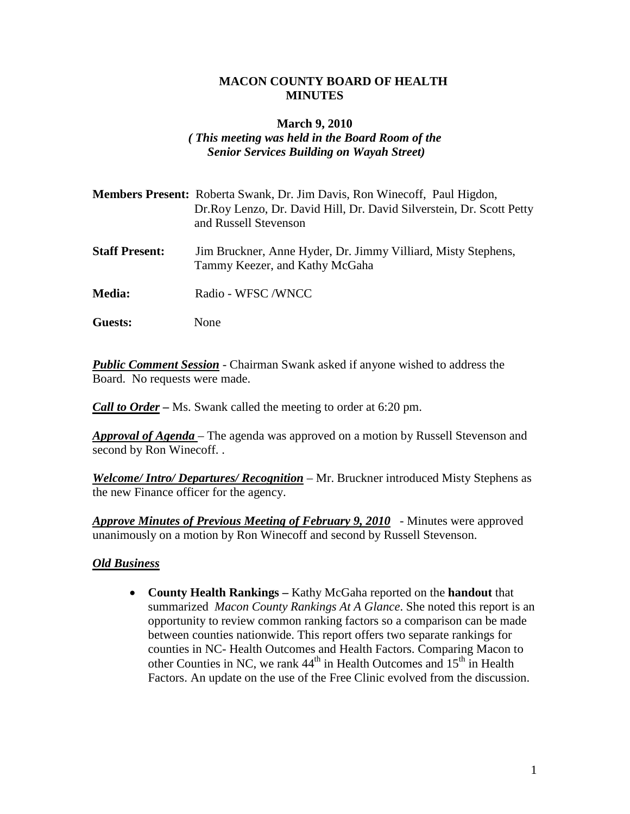#### **MACON COUNTY BOARD OF HEALTH MINUTES**

#### **March 9, 2010**

# *( This meeting was held in the Board Room of the Senior Services Building on Wayah Street)*

| <b>Members Present:</b> Roberta Swank, Dr. Jim Davis, Ron Winecoff, Paul Higdon, |
|----------------------------------------------------------------------------------|
| Dr. Roy Lenzo, Dr. David Hill, Dr. David Silverstein, Dr. Scott Petty            |
| and Russell Stevenson                                                            |

- **Staff Present:** Jim Bruckner, Anne Hyder, Dr. Jimmy Villiard, Misty Stephens, Tammy Keezer, and Kathy McGaha
- **Media:** Radio WFSC /WNCC
- **Guests:** None

*Public Comment Session* - Chairman Swank asked if anyone wished to address the Board. No requests were made.

*Call to Order* – Ms. Swank called the meeting to order at 6:20 pm.

*Approval of Agenda* – The agenda was approved on a motion by Russell Stevenson and second by Ron Winecoff. .

*Welcome/ Intro/ Departures/ Recognition* – Mr. Bruckner introduced Misty Stephens as the new Finance officer for the agency.

*Approve Minutes of Previous Meeting of February 9, 2010* - Minutes were approved unanimously on a motion by Ron Winecoff and second by Russell Stevenson.

### *Old Business*

• **County Health Rankings –** Kathy McGaha reported on the **handout** that summarized *Macon County Rankings At A Glance*. She noted this report is an opportunity to review common ranking factors so a comparison can be made between counties nationwide. This report offers two separate rankings for counties in NC- Health Outcomes and Health Factors. Comparing Macon to other Counties in NC, we rank  $44<sup>th</sup>$  in Health Outcomes and  $15<sup>th</sup>$  in Health Factors. An update on the use of the Free Clinic evolved from the discussion.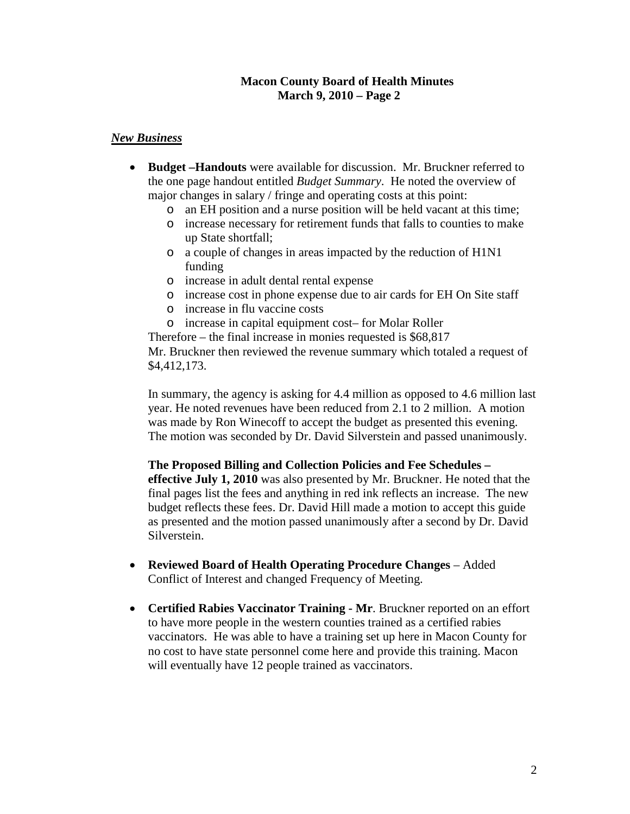#### **Macon County Board of Health Minutes March 9, 2010 – Page 2**

### *New Business*

- **Budget –Handouts** were available for discussion. Mr. Bruckner referred to the one page handout entitled *Budget Summary*. He noted the overview of major changes in salary / fringe and operating costs at this point:
	- o an EH position and a nurse position will be held vacant at this time;
	- o increase necessary for retirement funds that falls to counties to make up State shortfall;
	- o a couple of changes in areas impacted by the reduction of H1N1 funding
	- o increase in adult dental rental expense
	- o increase cost in phone expense due to air cards for EH On Site staff
	- o increase in flu vaccine costs
	- o increase in capital equipment cost– for Molar Roller

Therefore – the final increase in monies requested is \$68,817 Mr. Bruckner then reviewed the revenue summary which totaled a request of \$4,412,173.

In summary, the agency is asking for 4.4 million as opposed to 4.6 million last year. He noted revenues have been reduced from 2.1 to 2 million. A motion was made by Ron Winecoff to accept the budget as presented this evening. The motion was seconded by Dr. David Silverstein and passed unanimously.

**The Proposed Billing and Collection Policies and Fee Schedules –**

**effective July 1, 2010** was also presented by Mr. Bruckner. He noted that the final pages list the fees and anything in red ink reflects an increase. The new budget reflects these fees. Dr. David Hill made a motion to accept this guide as presented and the motion passed unanimously after a second by Dr. David Silverstein.

- **Reviewed Board of Health Operating Procedure Changes** Added Conflict of Interest and changed Frequency of Meeting.
- **Certified Rabies Vaccinator Training - Mr**. Bruckner reported on an effort to have more people in the western counties trained as a certified rabies vaccinators. He was able to have a training set up here in Macon County for no cost to have state personnel come here and provide this training. Macon will eventually have 12 people trained as vaccinators.